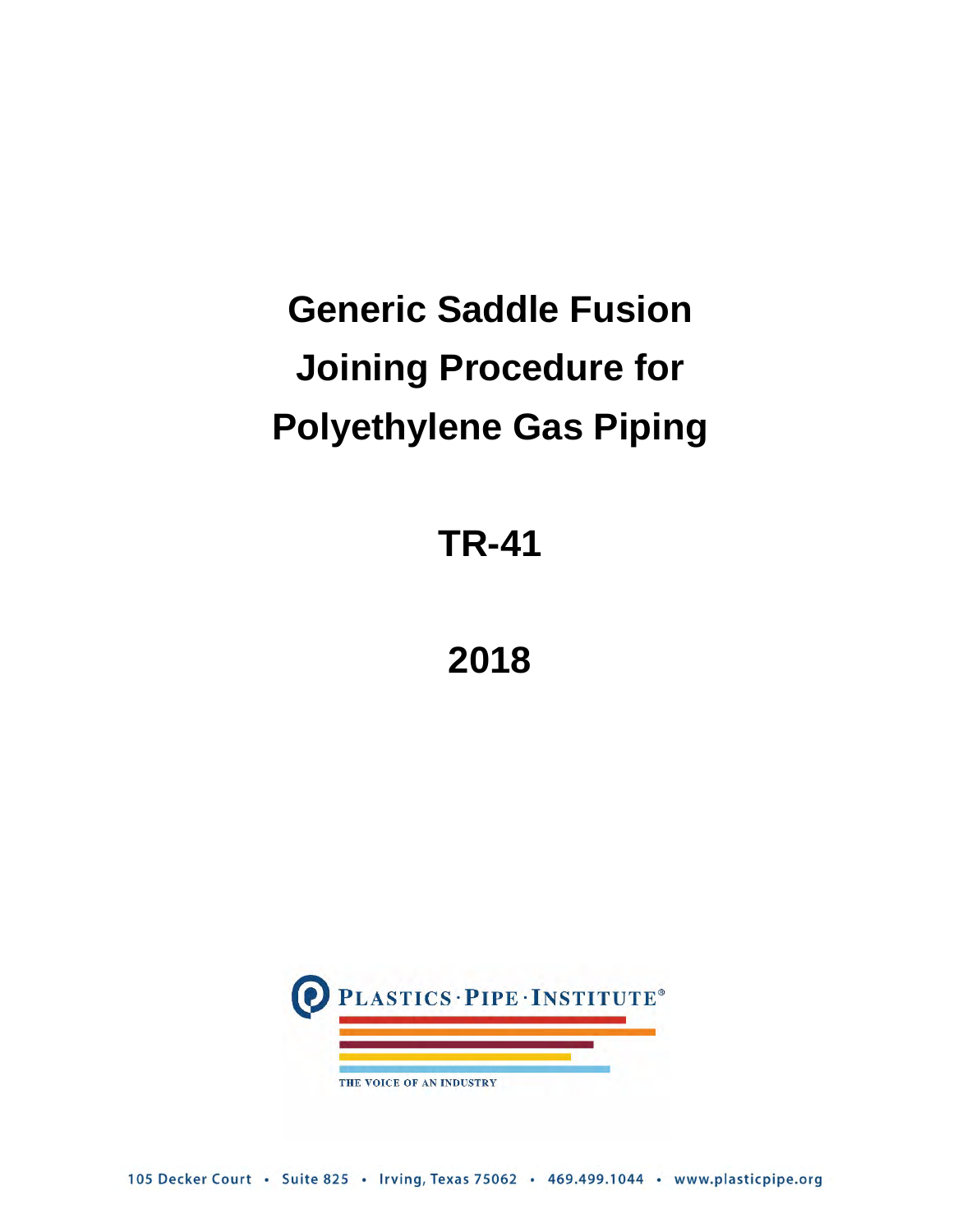# **Generic Saddle Fusion Joining Procedure for Polyethylene Gas Piping**

**TR-41**

**2018** 



105 Decker Court · Suite 825 · Irving, Texas 75062 · 469.499.1044 · www.plasticpipe.org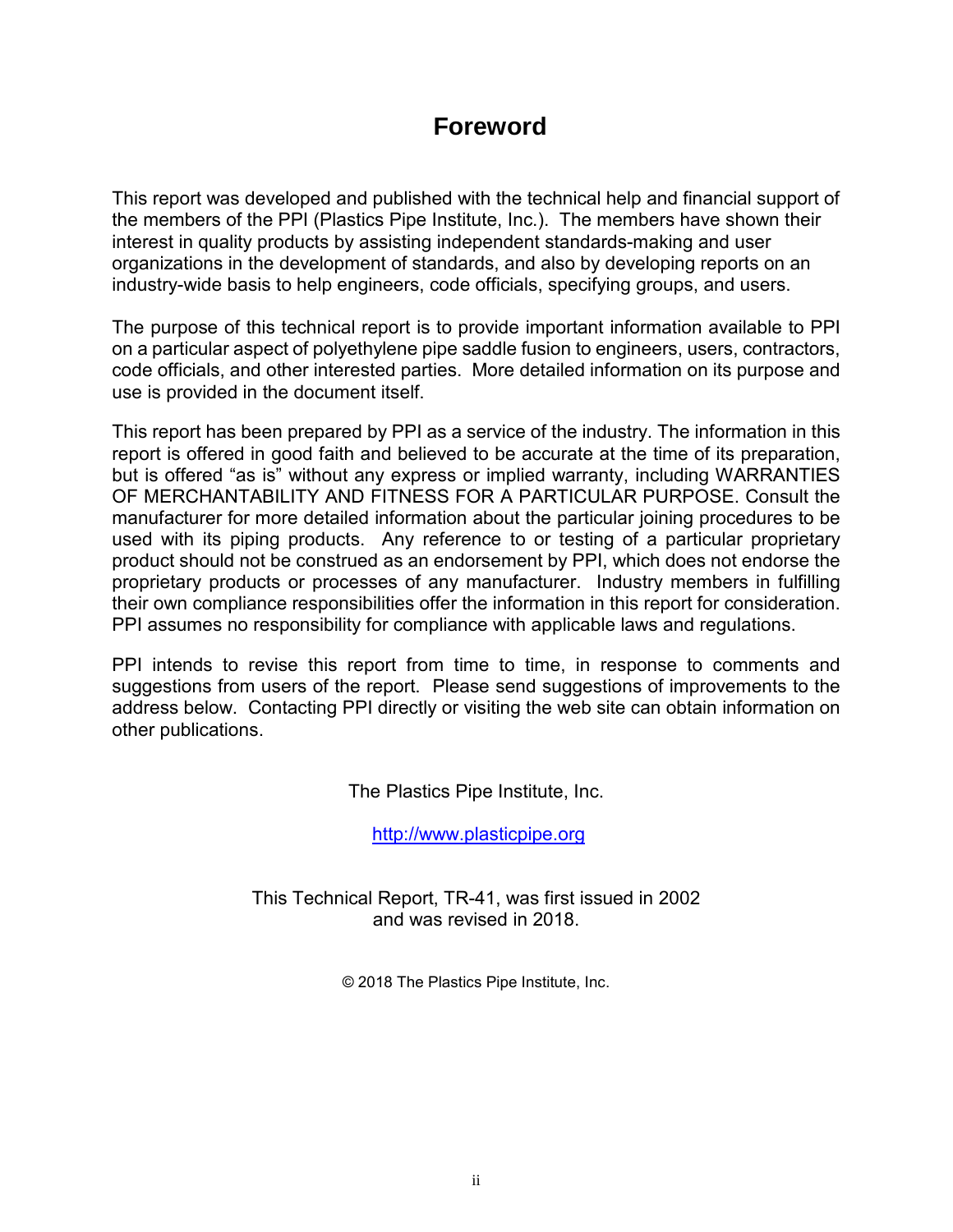### **Foreword**

This report was developed and published with the technical help and financial support of the members of the PPI (Plastics Pipe Institute, Inc.). The members have shown their interest in quality products by assisting independent standards-making and user organizations in the development of standards, and also by developing reports on an industry-wide basis to help engineers, code officials, specifying groups, and users.

The purpose of this technical report is to provide important information available to PPI on a particular aspect of polyethylene pipe saddle fusion to engineers, users, contractors, code officials, and other interested parties. More detailed information on its purpose and use is provided in the document itself.

This report has been prepared by PPI as a service of the industry. The information in this report is offered in good faith and believed to be accurate at the time of its preparation, but is offered "as is" without any express or implied warranty, including WARRANTIES OF MERCHANTABILITY AND FITNESS FOR A PARTICULAR PURPOSE. Consult the manufacturer for more detailed information about the particular joining procedures to be used with its piping products. Any reference to or testing of a particular proprietary product should not be construed as an endorsement by PPI, which does not endorse the proprietary products or processes of any manufacturer. Industry members in fulfilling their own compliance responsibilities offer the information in this report for consideration. PPI assumes no responsibility for compliance with applicable laws and regulations.

PPI intends to revise this report from time to time, in response to comments and suggestions from users of the report. Please send suggestions of improvements to the address below. Contacting PPI directly or visiting the web site can obtain information on other publications.

The Plastics Pipe Institute, Inc.

[http://www.plasticpipe.org](http://www.plasticpipe.org/)

This Technical Report, TR-41, was first issued in 2002 and was revised in 2018.

© 2018 The Plastics Pipe Institute, Inc.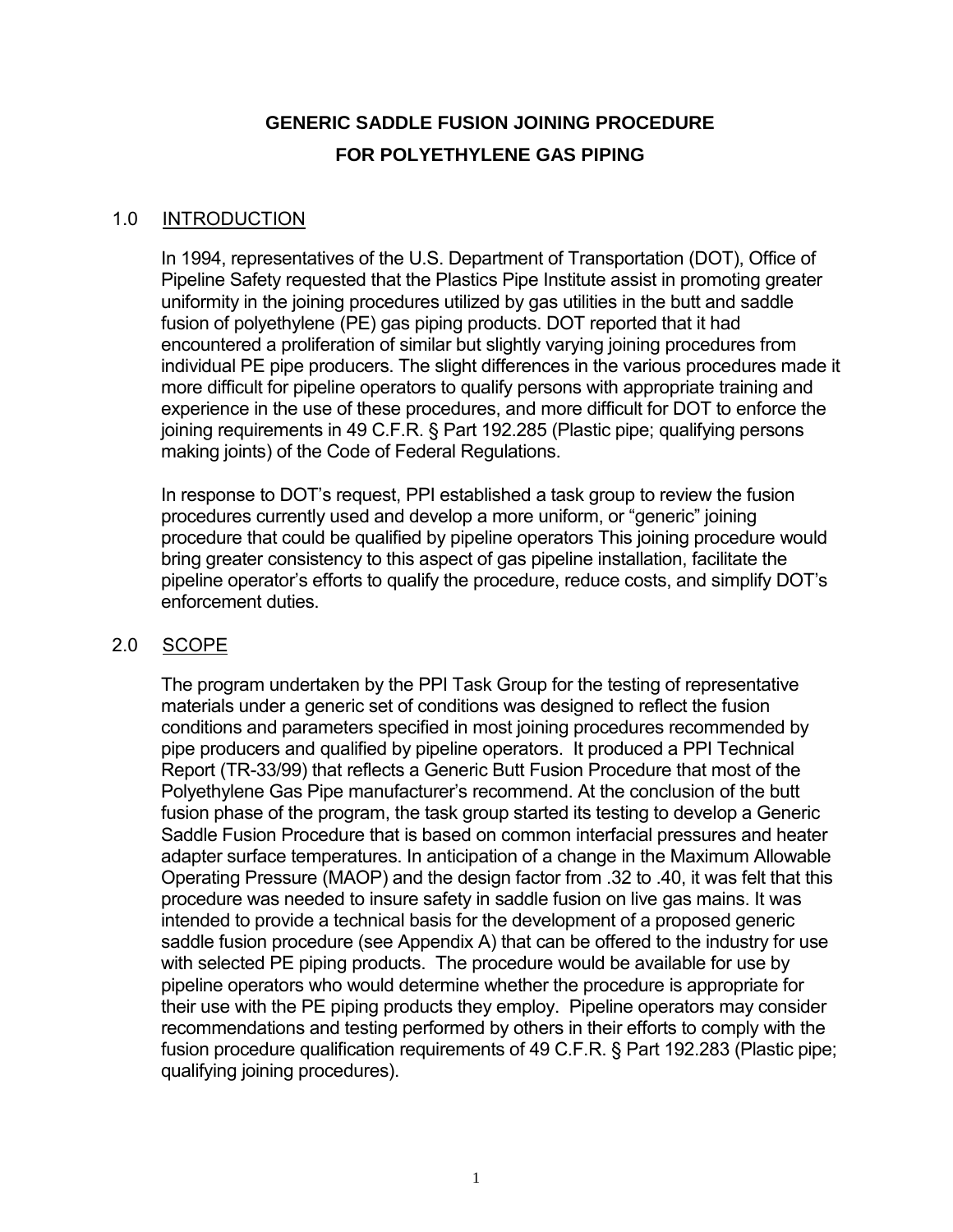### **GENERIC SADDLE FUSION JOINING PROCEDURE FOR POLYETHYLENE GAS PIPING**

### 1.0 INTRODUCTION

In 1994, representatives of the U.S. Department of Transportation (DOT), Office of Pipeline Safety requested that the Plastics Pipe Institute assist in promoting greater uniformity in the joining procedures utilized by gas utilities in the butt and saddle fusion of polyethylene (PE) gas piping products. DOT reported that it had encountered a proliferation of similar but slightly varying joining procedures from individual PE pipe producers. The slight differences in the various procedures made it more difficult for pipeline operators to qualify persons with appropriate training and experience in the use of these procedures, and more difficult for DOT to enforce the joining requirements in 49 C.F.R. § Part 192.285 (Plastic pipe; qualifying persons making joints) of the Code of Federal Regulations.

In response to DOT's request, PPI established a task group to review the fusion procedures currently used and develop a more uniform, or "generic" joining procedure that could be qualified by pipeline operators This joining procedure would bring greater consistency to this aspect of gas pipeline installation, facilitate the pipeline operator's efforts to qualify the procedure, reduce costs, and simplify DOT's enforcement duties.

### 2.0 SCOPE

The program undertaken by the PPI Task Group for the testing of representative materials under a generic set of conditions was designed to reflect the fusion conditions and parameters specified in most joining procedures recommended by pipe producers and qualified by pipeline operators. It produced a PPI Technical Report (TR-33/99) that reflects a Generic Butt Fusion Procedure that most of the Polyethylene Gas Pipe manufacturer's recommend. At the conclusion of the butt fusion phase of the program, the task group started its testing to develop a Generic Saddle Fusion Procedure that is based on common interfacial pressures and heater adapter surface temperatures. In anticipation of a change in the Maximum Allowable Operating Pressure (MAOP) and the design factor from .32 to .40, it was felt that this procedure was needed to insure safety in saddle fusion on live gas mains. It was intended to provide a technical basis for the development of a proposed generic saddle fusion procedure (see Appendix A) that can be offered to the industry for use with selected PE piping products. The procedure would be available for use by pipeline operators who would determine whether the procedure is appropriate for their use with the PE piping products they employ. Pipeline operators may consider recommendations and testing performed by others in their efforts to comply with the fusion procedure qualification requirements of 49 C.F.R. § Part 192.283 (Plastic pipe; qualifying joining procedures).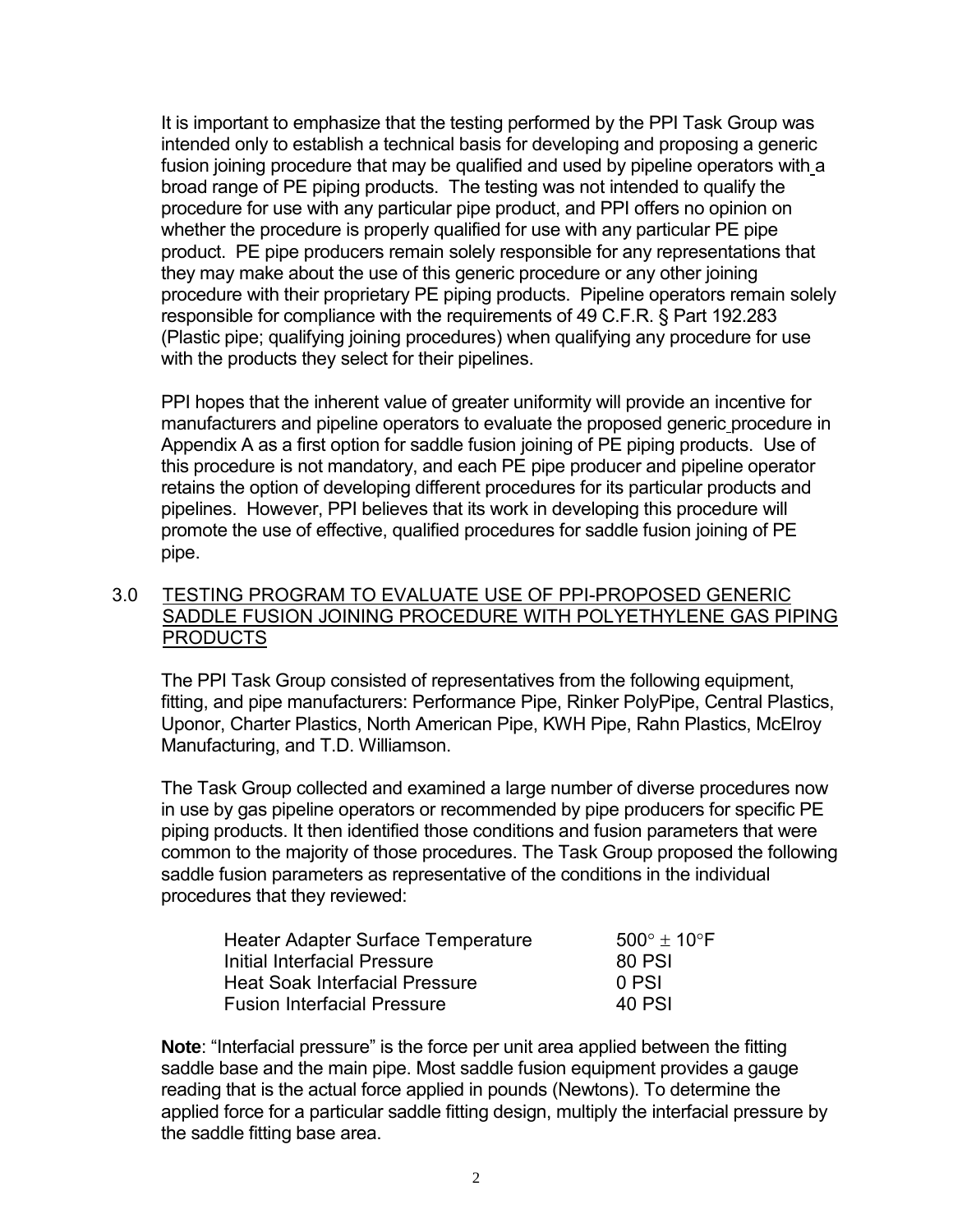It is important to emphasize that the testing performed by the PPI Task Group was intended only to establish a technical basis for developing and proposing a generic fusion joining procedure that may be qualified and used by pipeline operators with a broad range of PE piping products. The testing was not intended to qualify the procedure for use with any particular pipe product, and PPI offers no opinion on whether the procedure is properly qualified for use with any particular PE pipe product. PE pipe producers remain solely responsible for any representations that they may make about the use of this generic procedure or any other joining procedure with their proprietary PE piping products. Pipeline operators remain solely responsible for compliance with the requirements of 49 C.F.R. § Part 192.283 (Plastic pipe; qualifying joining procedures) when qualifying any procedure for use with the products they select for their pipelines.

PPI hopes that the inherent value of greater uniformity will provide an incentive for manufacturers and pipeline operators to evaluate the proposed generic procedure in Appendix A as a first option for saddle fusion joining of PE piping products. Use of this procedure is not mandatory, and each PE pipe producer and pipeline operator retains the option of developing different procedures for its particular products and pipelines. However, PPI believes that its work in developing this procedure will promote the use of effective, qualified procedures for saddle fusion joining of PE pipe.

### 3.0 TESTING PROGRAM TO EVALUATE USE OF PPI-PROPOSED GENERIC SADDLE FUSION JOINING PROCEDURE WITH POLYETHYLENE GAS PIPING PRODUCTS

The PPI Task Group consisted of representatives from the following equipment, fitting, and pipe manufacturers: Performance Pipe, Rinker PolyPipe, Central Plastics, Uponor, Charter Plastics, North American Pipe, KWH Pipe, Rahn Plastics, McElroy Manufacturing, and T.D. Williamson.

The Task Group collected and examined a large number of diverse procedures now in use by gas pipeline operators or recommended by pipe producers for specific PE piping products. It then identified those conditions and fusion parameters that were common to the majority of those procedures. The Task Group proposed the following saddle fusion parameters as representative of the conditions in the individual procedures that they reviewed:

| Heater Adapter Surface Temperature    | $500^{\circ} \pm 10^{\circ}$ F |
|---------------------------------------|--------------------------------|
| Initial Interfacial Pressure          | 80 PSI                         |
| <b>Heat Soak Interfacial Pressure</b> | 0 PSI                          |
| <b>Fusion Interfacial Pressure</b>    | 40 PSI                         |

**Note**: "Interfacial pressure" is the force per unit area applied between the fitting saddle base and the main pipe. Most saddle fusion equipment provides a gauge reading that is the actual force applied in pounds (Newtons). To determine the applied force for a particular saddle fitting design, multiply the interfacial pressure by the saddle fitting base area.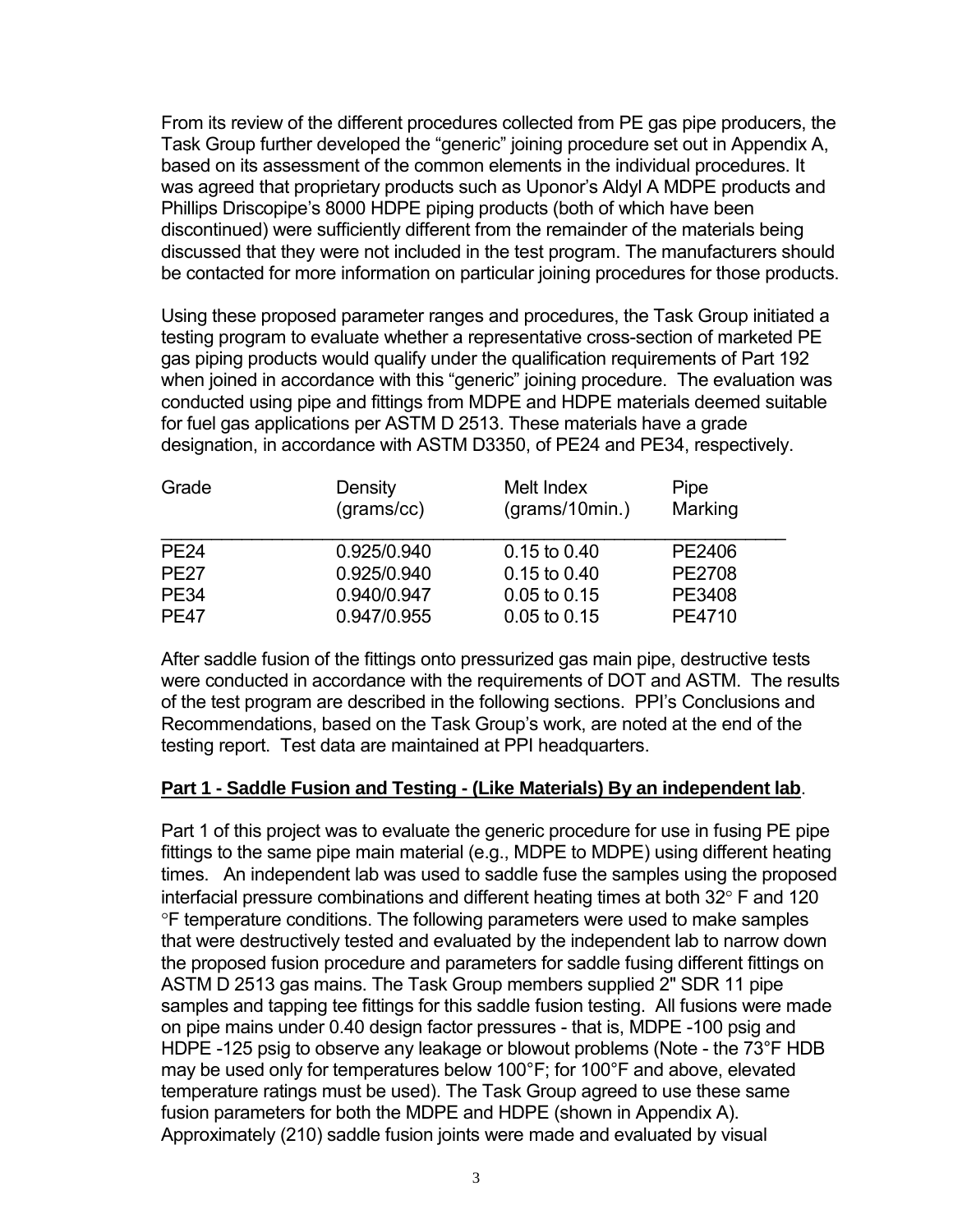From its review of the different procedures collected from PE gas pipe producers, the Task Group further developed the "generic" joining procedure set out in Appendix A, based on its assessment of the common elements in the individual procedures. It was agreed that proprietary products such as Uponor's Aldyl A MDPE products and Phillips Driscopipe's 8000 HDPE piping products (both of which have been discontinued) were sufficiently different from the remainder of the materials being discussed that they were not included in the test program. The manufacturers should be contacted for more information on particular joining procedures for those products.

Using these proposed parameter ranges and procedures, the Task Group initiated a testing program to evaluate whether a representative cross-section of marketed PE gas piping products would qualify under the qualification requirements of Part 192 when joined in accordance with this "generic" joining procedure. The evaluation was conducted using pipe and fittings from MDPE and HDPE materials deemed suitable for fuel gas applications per ASTM D 2513. These materials have a grade designation, in accordance with ASTM D3350, of PE24 and PE34, respectively.

| Grade       | Density<br>(grams/cc) | Melt Index<br>(grams/10min.) | Pipe<br>Marking |
|-------------|-----------------------|------------------------------|-----------------|
| <b>PE24</b> | 0.925/0.940           | $0.15$ to $0.40$             | PE2406          |
| <b>PE27</b> | 0.925/0.940           | $0.15$ to $0.40$             | PE2708          |
| <b>PE34</b> | 0.940/0.947           | $0.05$ to $0.15$             | PE3408          |
| <b>PE47</b> | 0.947/0.955           | 0.05 to 0.15                 | PE4710          |

After saddle fusion of the fittings onto pressurized gas main pipe, destructive tests were conducted in accordance with the requirements of DOT and ASTM. The results of the test program are described in the following sections. PPI's Conclusions and Recommendations, based on the Task Group's work, are noted at the end of the testing report. Test data are maintained at PPI headquarters.

### **Part 1 - Saddle Fusion and Testing - (Like Materials) By an independent lab**.

Part 1 of this project was to evaluate the generic procedure for use in fusing PE pipe fittings to the same pipe main material (e.g., MDPE to MDPE) using different heating times. An independent lab was used to saddle fuse the samples using the proposed interfacial pressure combinations and different heating times at both 32° F and 120 °F temperature conditions. The following parameters were used to make samples that were destructively tested and evaluated by the independent lab to narrow down the proposed fusion procedure and parameters for saddle fusing different fittings on ASTM D 2513 gas mains. The Task Group members supplied 2" SDR 11 pipe samples and tapping tee fittings for this saddle fusion testing. All fusions were made on pipe mains under 0.40 design factor pressures - that is, MDPE -100 psig and HDPE -125 psig to observe any leakage or blowout problems (Note - the 73°F HDB may be used only for temperatures below 100°F; for 100°F and above, elevated temperature ratings must be used). The Task Group agreed to use these same fusion parameters for both the MDPE and HDPE (shown in Appendix A). Approximately (210) saddle fusion joints were made and evaluated by visual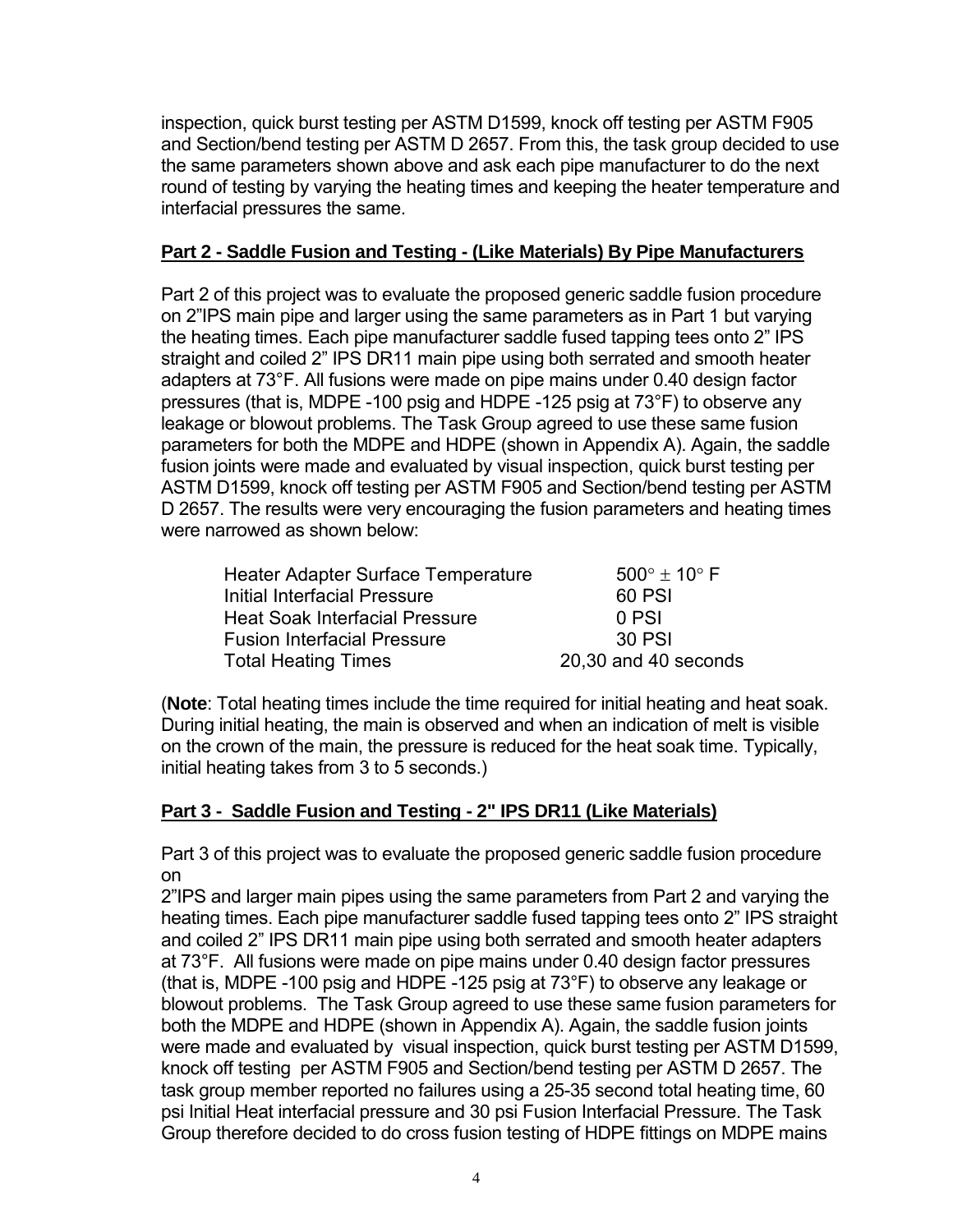inspection, quick burst testing per ASTM D1599, knock off testing per ASTM F905 and Section/bend testing per ASTM D 2657. From this, the task group decided to use the same parameters shown above and ask each pipe manufacturer to do the next round of testing by varying the heating times and keeping the heater temperature and interfacial pressures the same.

### **Part 2 - Saddle Fusion and Testing - (Like Materials) By Pipe Manufacturers**

Part 2 of this project was to evaluate the proposed generic saddle fusion procedure on 2"IPS main pipe and larger using the same parameters as in Part 1 but varying the heating times. Each pipe manufacturer saddle fused tapping tees onto 2" IPS straight and coiled 2" IPS DR11 main pipe using both serrated and smooth heater adapters at 73°F. All fusions were made on pipe mains under 0.40 design factor pressures (that is, MDPE -100 psig and HDPE -125 psig at 73°F) to observe any leakage or blowout problems. The Task Group agreed to use these same fusion parameters for both the MDPE and HDPE (shown in Appendix A). Again, the saddle fusion joints were made and evaluated by visual inspection, quick burst testing per ASTM D1599, knock off testing per ASTM F905 and Section/bend testing per ASTM D 2657. The results were very encouraging the fusion parameters and heating times were narrowed as shown below:

| Heater Adapter Surface Temperature    | $500^{\circ}$ ± 10° F |
|---------------------------------------|-----------------------|
| Initial Interfacial Pressure          | 60 PSI                |
| <b>Heat Soak Interfacial Pressure</b> | 0 PSI                 |
| <b>Fusion Interfacial Pressure</b>    | 30 PSI                |
| <b>Total Heating Times</b>            | 20,30 and 40 seconds  |

(**Note**: Total heating times include the time required for initial heating and heat soak. During initial heating, the main is observed and when an indication of melt is visible on the crown of the main, the pressure is reduced for the heat soak time. Typically, initial heating takes from 3 to 5 seconds.)

### **Part 3 - Saddle Fusion and Testing - 2" IPS DR11 (Like Materials)**

Part 3 of this project was to evaluate the proposed generic saddle fusion procedure on

2"IPS and larger main pipes using the same parameters from Part 2 and varying the heating times. Each pipe manufacturer saddle fused tapping tees onto 2" IPS straight and coiled 2" IPS DR11 main pipe using both serrated and smooth heater adapters at 73°F. All fusions were made on pipe mains under 0.40 design factor pressures (that is, MDPE -100 psig and HDPE -125 psig at 73°F) to observe any leakage or blowout problems. The Task Group agreed to use these same fusion parameters for both the MDPE and HDPE (shown in Appendix A). Again, the saddle fusion joints were made and evaluated by visual inspection, quick burst testing per ASTM D1599, knock off testing per ASTM F905 and Section/bend testing per ASTM D 2657. The task group member reported no failures using a 25-35 second total heating time, 60 psi Initial Heat interfacial pressure and 30 psi Fusion Interfacial Pressure. The Task Group therefore decided to do cross fusion testing of HDPE fittings on MDPE mains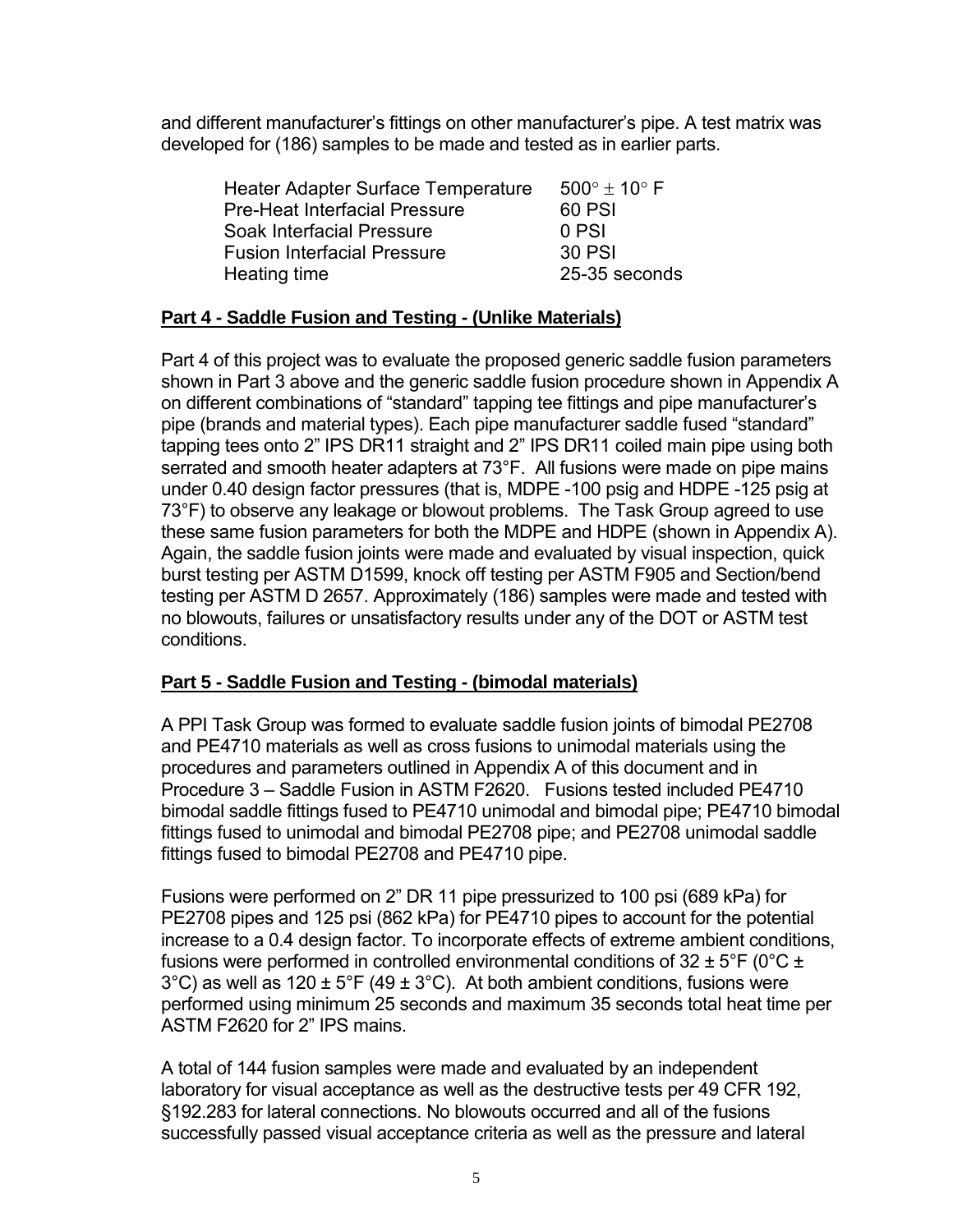and different manufacturer's fittings on other manufacturer's pipe. A test matrix was developed for (186) samples to be made and tested as in earlier parts.

| Heater Adapter Surface Temperature   | $500^{\circ}$ ± 10° F |
|--------------------------------------|-----------------------|
| <b>Pre-Heat Interfacial Pressure</b> | 60 PSI                |
| <b>Soak Interfacial Pressure</b>     | 0 PSI                 |
| <b>Fusion Interfacial Pressure</b>   | 30 PSI                |
| Heating time                         | 25-35 seconds         |

### **Part 4 - Saddle Fusion and Testing - (Unlike Materials)**

Part 4 of this project was to evaluate the proposed generic saddle fusion parameters shown in Part 3 above and the generic saddle fusion procedure shown in Appendix A on different combinations of "standard" tapping tee fittings and pipe manufacturer's pipe (brands and material types). Each pipe manufacturer saddle fused "standard" tapping tees onto 2" IPS DR11 straight and 2" IPS DR11 coiled main pipe using both serrated and smooth heater adapters at 73°F. All fusions were made on pipe mains under 0.40 design factor pressures (that is, MDPE -100 psig and HDPE -125 psig at 73°F) to observe any leakage or blowout problems. The Task Group agreed to use these same fusion parameters for both the MDPE and HDPE (shown in Appendix A). Again, the saddle fusion joints were made and evaluated by visual inspection, quick burst testing per ASTM D1599, knock off testing per ASTM F905 and Section/bend testing per ASTM D 2657. Approximately (186) samples were made and tested with no blowouts, failures or unsatisfactory results under any of the DOT or ASTM test conditions.

### **Part 5 - Saddle Fusion and Testing - (bimodal materials)**

A PPI Task Group was formed to evaluate saddle fusion joints of bimodal PE2708 and PE4710 materials as well as cross fusions to unimodal materials using the procedures and parameters outlined in Appendix A of this document and in Procedure 3 – Saddle Fusion in ASTM F2620. Fusions tested included PE4710 bimodal saddle fittings fused to PE4710 unimodal and bimodal pipe; PE4710 bimodal fittings fused to unimodal and bimodal PE2708 pipe; and PE2708 unimodal saddle fittings fused to bimodal PE2708 and PE4710 pipe.

Fusions were performed on 2" DR 11 pipe pressurized to 100 psi (689 kPa) for PE2708 pipes and 125 psi (862 kPa) for PE4710 pipes to account for the potential increase to a 0.4 design factor. To incorporate effects of extreme ambient conditions, fusions were performed in controlled environmental conditions of  $32 \pm 5^{\circ}$ F (0 $^{\circ}$ C  $\pm$  $3^{\circ}$ C) as well as 120 ± 5 $^{\circ}$ F (49 ± 3 $^{\circ}$ C). At both ambient conditions, fusions were performed using minimum 25 seconds and maximum 35 seconds total heat time per ASTM F2620 for 2" IPS mains.

A total of 144 fusion samples were made and evaluated by an independent laboratory for visual acceptance as well as the destructive tests per 49 CFR 192, §192.283 for lateral connections. No blowouts occurred and all of the fusions successfully passed visual acceptance criteria as well as the pressure and lateral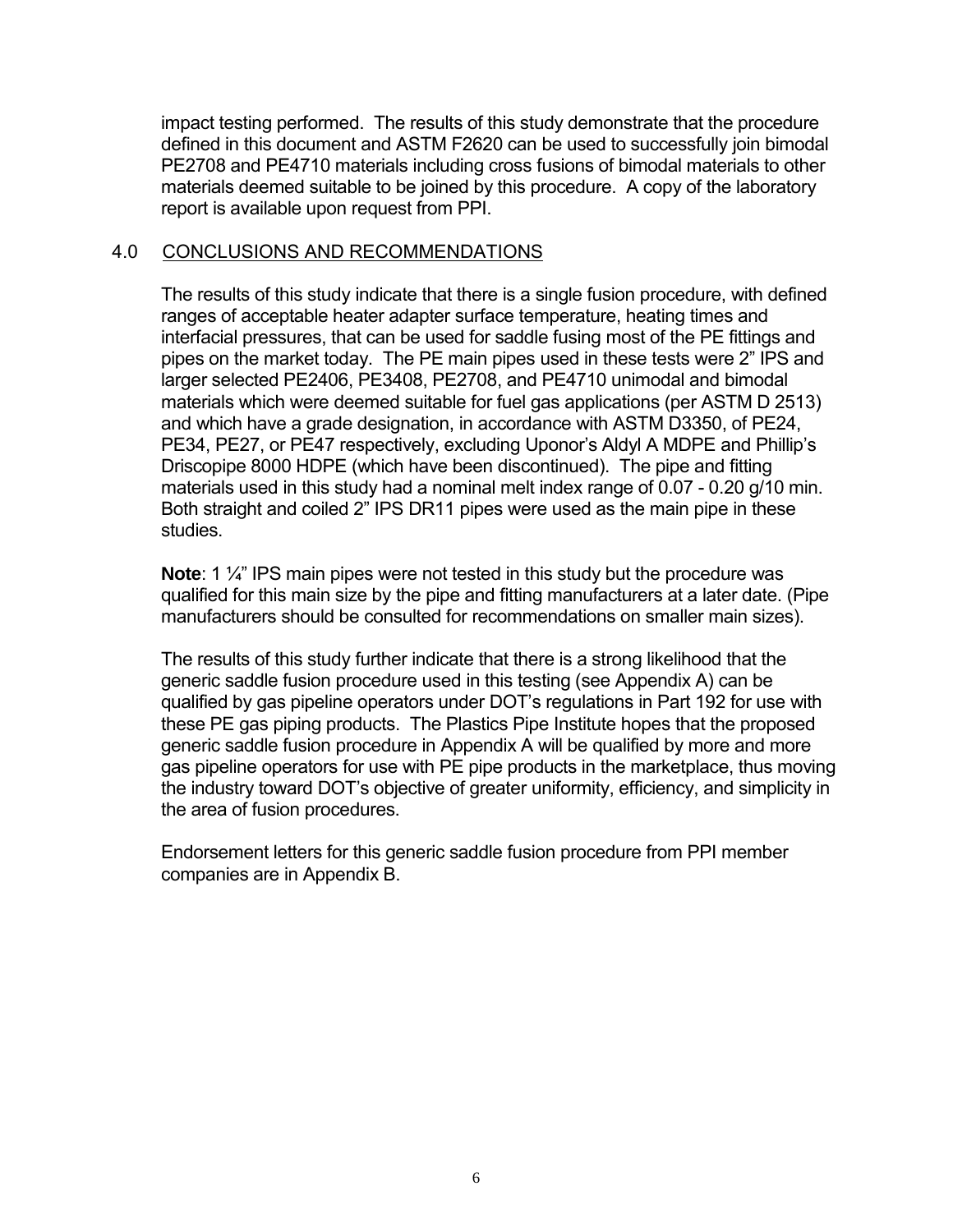impact testing performed. The results of this study demonstrate that the procedure defined in this document and ASTM F2620 can be used to successfully join bimodal PE2708 and PE4710 materials including cross fusions of bimodal materials to other materials deemed suitable to be joined by this procedure. A copy of the laboratory report is available upon request from PPI.

### 4.0 CONCLUSIONS AND RECOMMENDATIONS

The results of this study indicate that there is a single fusion procedure, with defined ranges of acceptable heater adapter surface temperature, heating times and interfacial pressures, that can be used for saddle fusing most of the PE fittings and pipes on the market today. The PE main pipes used in these tests were 2" IPS and larger selected PE2406, PE3408, PE2708, and PE4710 unimodal and bimodal materials which were deemed suitable for fuel gas applications (per ASTM D 2513) and which have a grade designation, in accordance with ASTM D3350, of PE24, PE34, PE27, or PE47 respectively, excluding Uponor's Aldyl A MDPE and Phillip's Driscopipe 8000 HDPE (which have been discontinued). The pipe and fitting materials used in this study had a nominal melt index range of 0.07 - 0.20 g/10 min. Both straight and coiled 2" IPS DR11 pipes were used as the main pipe in these studies.

**Note**: 1 ¼" IPS main pipes were not tested in this study but the procedure was qualified for this main size by the pipe and fitting manufacturers at a later date. (Pipe manufacturers should be consulted for recommendations on smaller main sizes).

The results of this study further indicate that there is a strong likelihood that the generic saddle fusion procedure used in this testing (see Appendix A) can be qualified by gas pipeline operators under DOT's regulations in Part 192 for use with these PE gas piping products. The Plastics Pipe Institute hopes that the proposed generic saddle fusion procedure in Appendix A will be qualified by more and more gas pipeline operators for use with PE pipe products in the marketplace, thus moving the industry toward DOT's objective of greater uniformity, efficiency, and simplicity in the area of fusion procedures.

Endorsement letters for this generic saddle fusion procedure from PPI member companies are in Appendix B.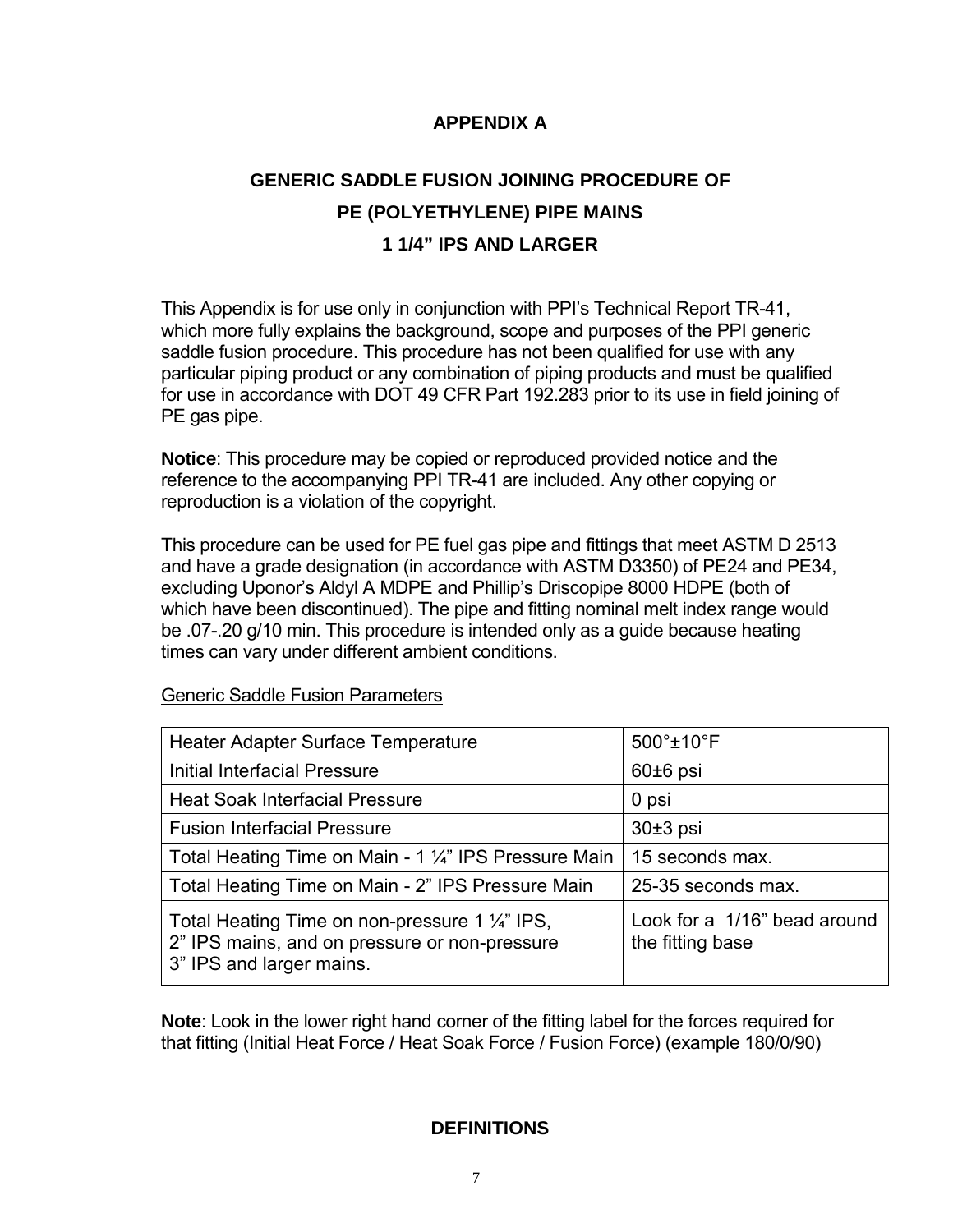### **APPENDIX A**

## **GENERIC SADDLE FUSION JOINING PROCEDURE OF PE (POLYETHYLENE) PIPE MAINS 1 1/4" IPS AND LARGER**

This Appendix is for use only in conjunction with PPI's Technical Report TR-41, which more fully explains the background, scope and purposes of the PPI generic saddle fusion procedure. This procedure has not been qualified for use with any particular piping product or any combination of piping products and must be qualified for use in accordance with DOT 49 CFR Part 192.283 prior to its use in field joining of PE gas pipe.

**Notice**: This procedure may be copied or reproduced provided notice and the reference to the accompanying PPI TR-41 are included. Any other copying or reproduction is a violation of the copyright.

This procedure can be used for PE fuel gas pipe and fittings that meet ASTM D 2513 and have a grade designation (in accordance with ASTM D3350) of PE24 and PE34, excluding Uponor's Aldyl A MDPE and Phillip's Driscopipe 8000 HDPE (both of which have been discontinued). The pipe and fitting nominal melt index range would be .07-.20 g/10 min. This procedure is intended only as a guide because heating times can vary under different ambient conditions.

| Heater Adapter Surface Temperature                                                                                          | $500^\circ \pm 10^\circ F$                       |
|-----------------------------------------------------------------------------------------------------------------------------|--------------------------------------------------|
| <b>Initial Interfacial Pressure</b>                                                                                         | $60±6$ psi                                       |
| <b>Heat Soak Interfacial Pressure</b>                                                                                       | 0 psi                                            |
| <b>Fusion Interfacial Pressure</b>                                                                                          | $30±3$ psi                                       |
| Total Heating Time on Main - 1 1/4" IPS Pressure Main                                                                       | 15 seconds max.                                  |
| Total Heating Time on Main - 2" IPS Pressure Main                                                                           | 25-35 seconds max.                               |
| Total Heating Time on non-pressure 1 1/4" IPS,<br>2" IPS mains, and on pressure or non-pressure<br>3" IPS and larger mains. | Look for a 1/16" bead around<br>the fitting base |

### Generic Saddle Fusion Parameters

**Note**: Look in the lower right hand corner of the fitting label for the forces required for that fitting (Initial Heat Force / Heat Soak Force / Fusion Force) (example 180/0/90)

### **DEFINITIONS**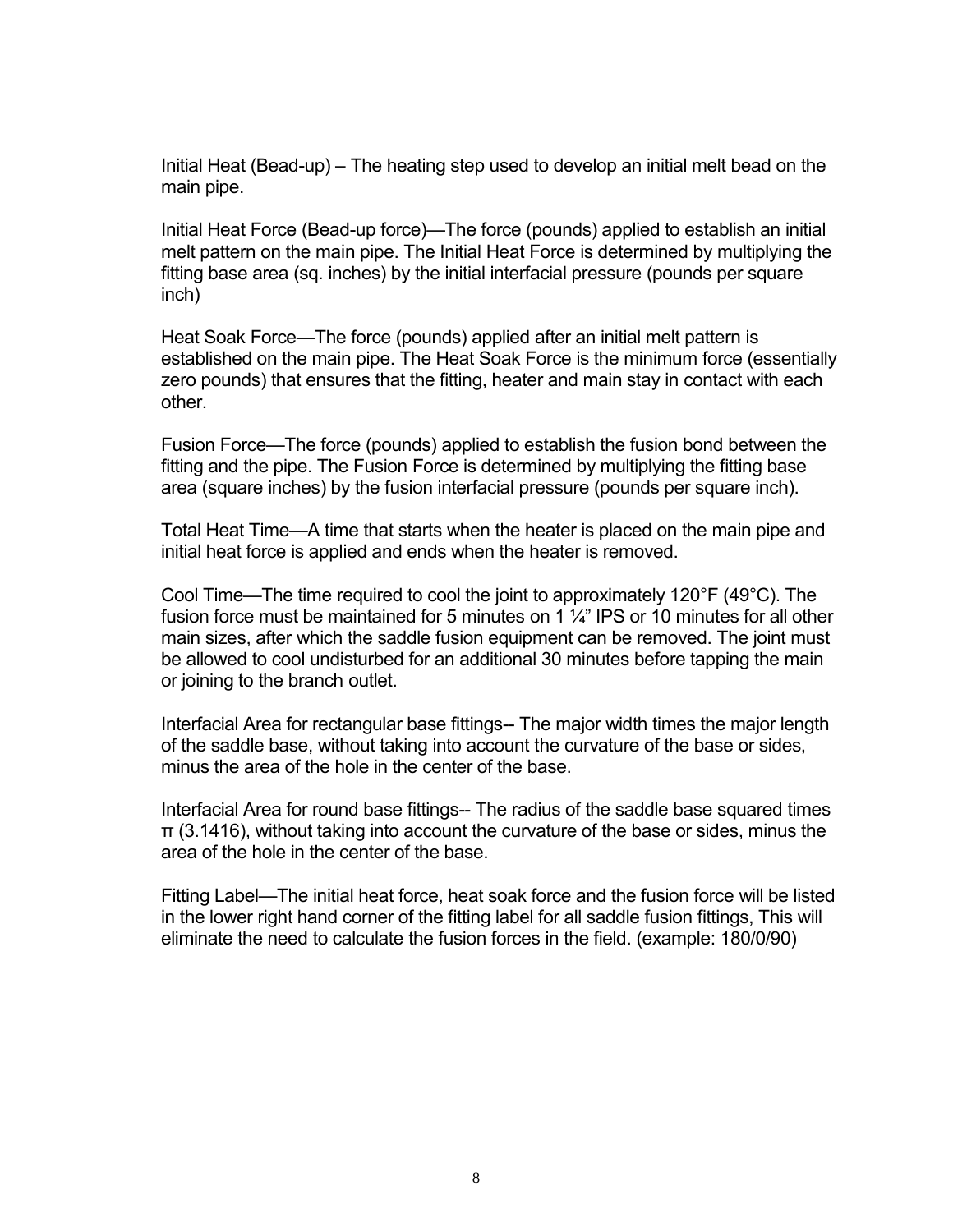Initial Heat (Bead-up) – The heating step used to develop an initial melt bead on the main pipe.

Initial Heat Force (Bead-up force)—The force (pounds) applied to establish an initial melt pattern on the main pipe. The Initial Heat Force is determined by multiplying the fitting base area (sq. inches) by the initial interfacial pressure (pounds per square inch)

Heat Soak Force—The force (pounds) applied after an initial melt pattern is established on the main pipe. The Heat Soak Force is the minimum force (essentially zero pounds) that ensures that the fitting, heater and main stay in contact with each other.

Fusion Force—The force (pounds) applied to establish the fusion bond between the fitting and the pipe. The Fusion Force is determined by multiplying the fitting base area (square inches) by the fusion interfacial pressure (pounds per square inch).

Total Heat Time—A time that starts when the heater is placed on the main pipe and initial heat force is applied and ends when the heater is removed.

Cool Time—The time required to cool the joint to approximately 120°F (49°C). The fusion force must be maintained for 5 minutes on 1 ¼" IPS or 10 minutes for all other main sizes, after which the saddle fusion equipment can be removed. The joint must be allowed to cool undisturbed for an additional 30 minutes before tapping the main or joining to the branch outlet.

Interfacial Area for rectangular base fittings-- The major width times the major length of the saddle base, without taking into account the curvature of the base or sides, minus the area of the hole in the center of the base.

Interfacial Area for round base fittings-- The radius of the saddle base squared times  $\pi$  (3.1416), without taking into account the curvature of the base or sides, minus the area of the hole in the center of the base.

Fitting Label—The initial heat force, heat soak force and the fusion force will be listed in the lower right hand corner of the fitting label for all saddle fusion fittings, This will eliminate the need to calculate the fusion forces in the field. (example: 180/0/90)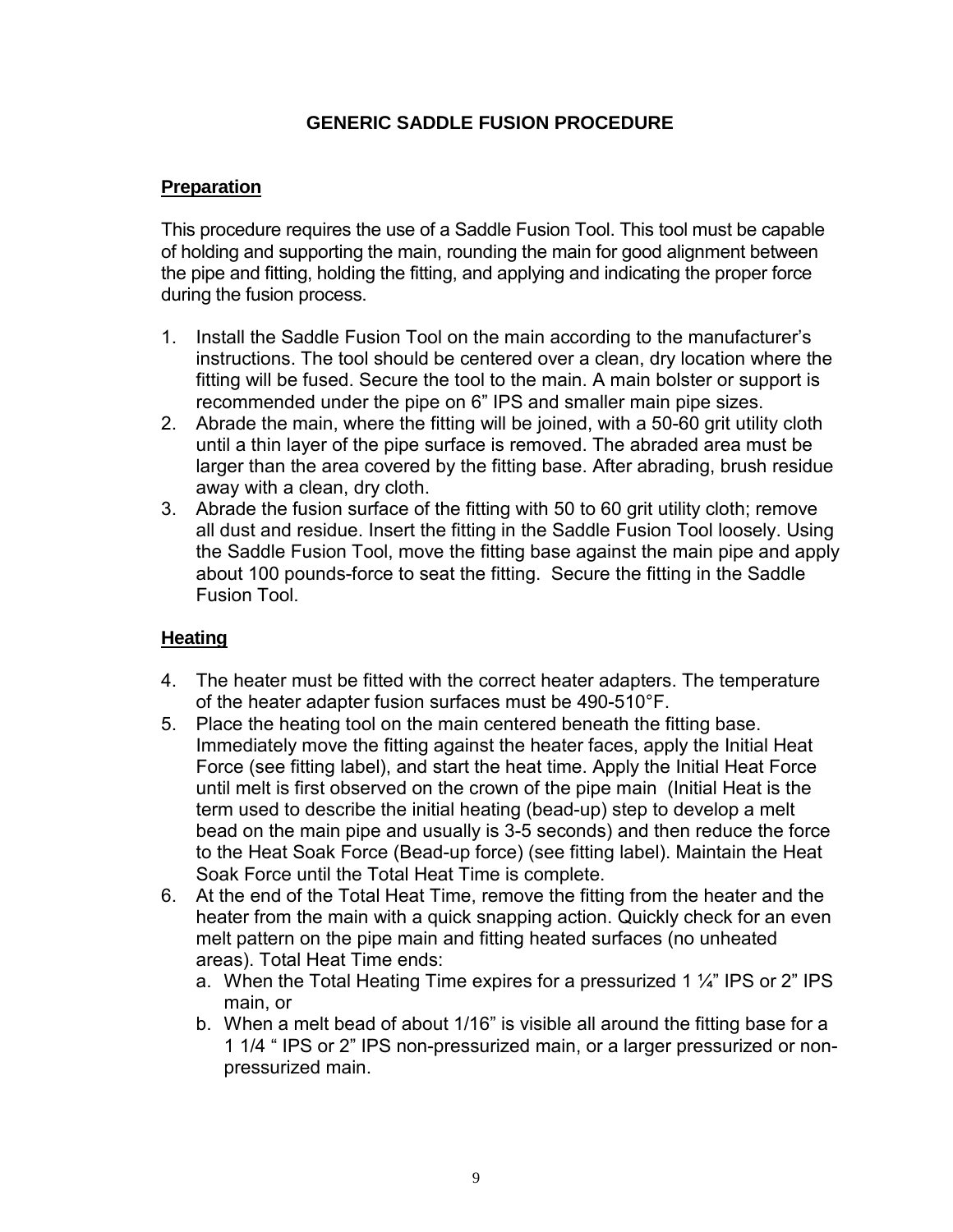### **GENERIC SADDLE FUSION PROCEDURE**

### **Preparation**

This procedure requires the use of a Saddle Fusion Tool. This tool must be capable of holding and supporting the main, rounding the main for good alignment between the pipe and fitting, holding the fitting, and applying and indicating the proper force during the fusion process.

- 1. Install the Saddle Fusion Tool on the main according to the manufacturer's instructions. The tool should be centered over a clean, dry location where the fitting will be fused. Secure the tool to the main. A main bolster or support is recommended under the pipe on 6" IPS and smaller main pipe sizes.
- 2. Abrade the main, where the fitting will be joined, with a 50-60 grit utility cloth until a thin layer of the pipe surface is removed. The abraded area must be larger than the area covered by the fitting base. After abrading, brush residue away with a clean, dry cloth.
- 3. Abrade the fusion surface of the fitting with 50 to 60 grit utility cloth; remove all dust and residue. Insert the fitting in the Saddle Fusion Tool loosely. Using the Saddle Fusion Tool, move the fitting base against the main pipe and apply about 100 pounds-force to seat the fitting. Secure the fitting in the Saddle Fusion Tool.

### **Heating**

- 4. The heater must be fitted with the correct heater adapters. The temperature of the heater adapter fusion surfaces must be 490-510°F.
- 5. Place the heating tool on the main centered beneath the fitting base. Immediately move the fitting against the heater faces, apply the Initial Heat Force (see fitting label), and start the heat time. Apply the Initial Heat Force until melt is first observed on the crown of the pipe main (Initial Heat is the term used to describe the initial heating (bead-up) step to develop a melt bead on the main pipe and usually is 3-5 seconds) and then reduce the force to the Heat Soak Force (Bead-up force) (see fitting label). Maintain the Heat Soak Force until the Total Heat Time is complete.
- 6. At the end of the Total Heat Time, remove the fitting from the heater and the heater from the main with a quick snapping action. Quickly check for an even melt pattern on the pipe main and fitting heated surfaces (no unheated areas). Total Heat Time ends:
	- a. When the Total Heating Time expires for a pressurized 1  $\frac{1}{4}$ " IPS or 2" IPS main, or
	- b. When a melt bead of about 1/16" is visible all around the fitting base for a 1 1/4 " IPS or 2" IPS non-pressurized main, or a larger pressurized or nonpressurized main.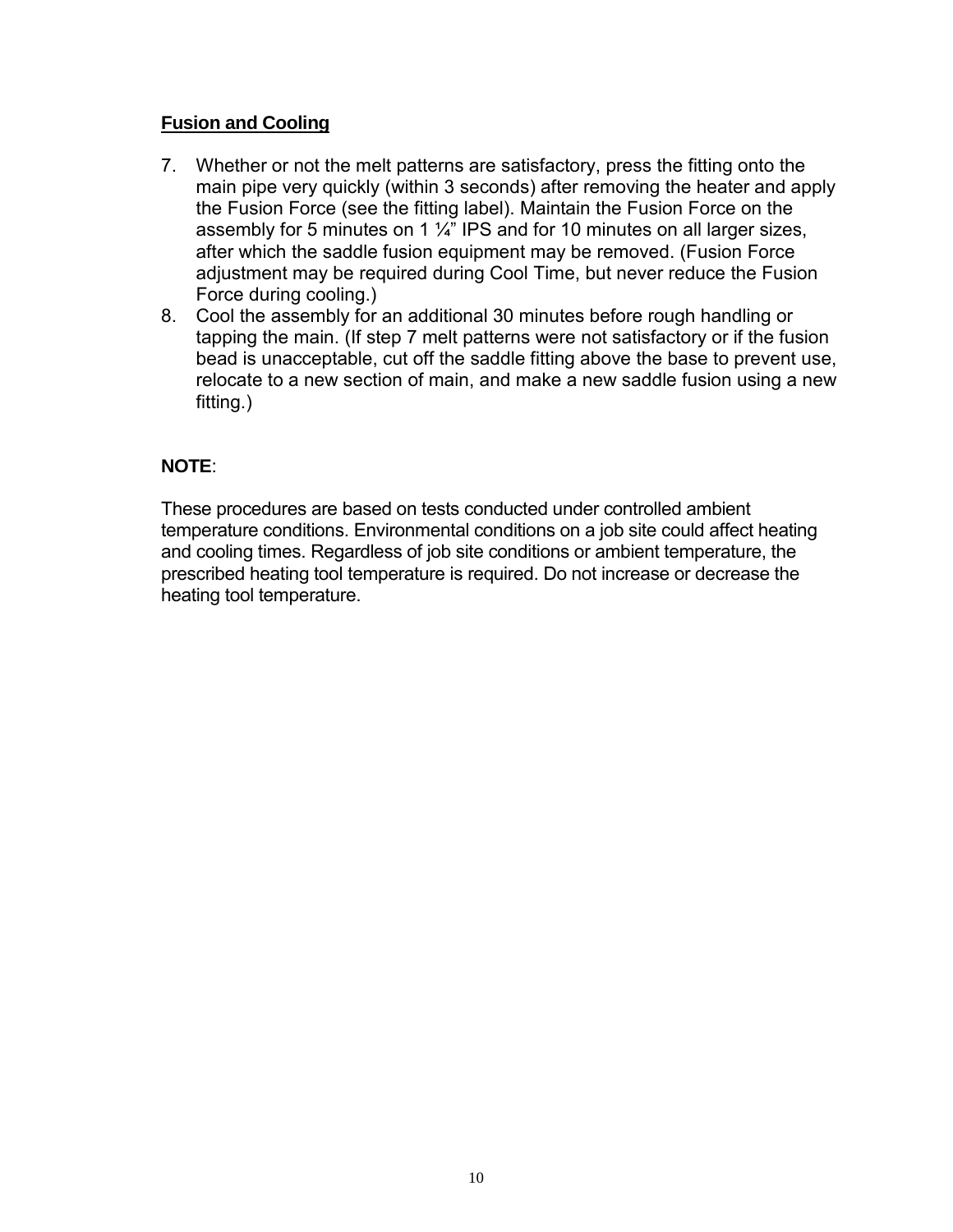### **Fusion and Cooling**

- 7. Whether or not the melt patterns are satisfactory, press the fitting onto the main pipe very quickly (within 3 seconds) after removing the heater and apply the Fusion Force (see the fitting label). Maintain the Fusion Force on the assembly for 5 minutes on 1  $\frac{1}{4}$ " IPS and for 10 minutes on all larger sizes, after which the saddle fusion equipment may be removed. (Fusion Force adjustment may be required during Cool Time, but never reduce the Fusion Force during cooling.)
- 8. Cool the assembly for an additional 30 minutes before rough handling or tapping the main. (If step 7 melt patterns were not satisfactory or if the fusion bead is unacceptable, cut off the saddle fitting above the base to prevent use, relocate to a new section of main, and make a new saddle fusion using a new fitting.)

### **NOTE**:

These procedures are based on tests conducted under controlled ambient temperature conditions. Environmental conditions on a job site could affect heating and cooling times. Regardless of job site conditions or ambient temperature, the prescribed heating tool temperature is required. Do not increase or decrease the heating tool temperature.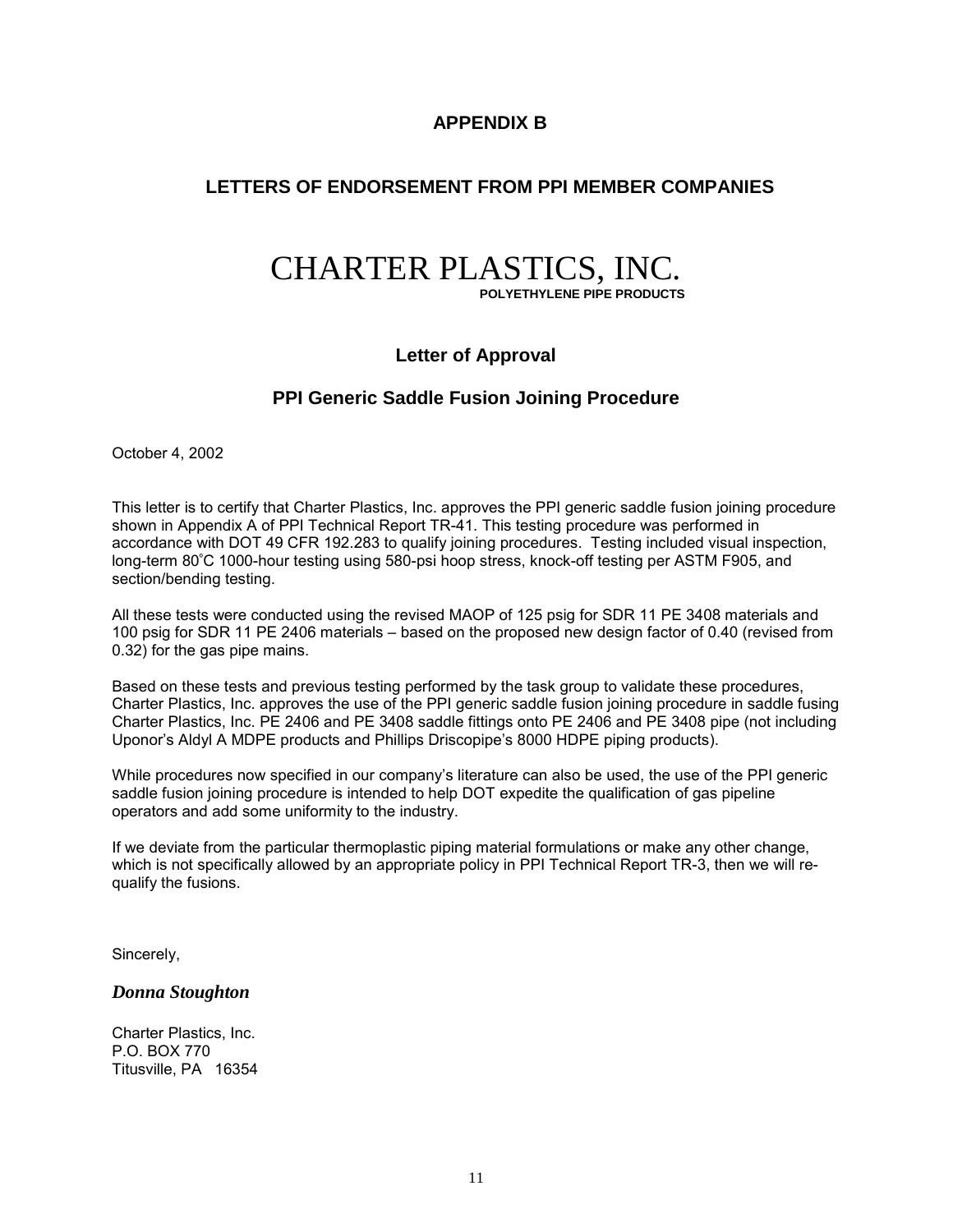### **APPENDIX B**

### **LETTERS OF ENDORSEMENT FROM PPI MEMBER COMPANIES**

## CHARTER PLASTICS, INC.

 **POLYETHYLENE PIPE PRODUCTS**

### **Letter of Approval**

### **PPI Generic Saddle Fusion Joining Procedure**

October 4, 2002

This letter is to certify that Charter Plastics, Inc. approves the PPI generic saddle fusion joining procedure shown in Appendix A of PPI Technical Report TR-41. This testing procedure was performed in accordance with DOT 49 CFR 192.283 to qualify joining procedures. Testing included visual inspection, long-term 80º C 1000-hour testing using 580-psi hoop stress, knock-off testing per ASTM F905, and section/bending testing.

All these tests were conducted using the revised MAOP of 125 psig for SDR 11 PE 3408 materials and 100 psig for SDR 11 PE 2406 materials – based on the proposed new design factor of 0.40 (revised from 0.32) for the gas pipe mains.

Based on these tests and previous testing performed by the task group to validate these procedures, Charter Plastics, Inc. approves the use of the PPI generic saddle fusion joining procedure in saddle fusing Charter Plastics, Inc. PE 2406 and PE 3408 saddle fittings onto PE 2406 and PE 3408 pipe (not including Uponor's Aldyl A MDPE products and Phillips Driscopipe's 8000 HDPE piping products).

While procedures now specified in our company's literature can also be used, the use of the PPI generic saddle fusion joining procedure is intended to help DOT expedite the qualification of gas pipeline operators and add some uniformity to the industry.

If we deviate from the particular thermoplastic piping material formulations or make any other change, which is not specifically allowed by an appropriate policy in PPI Technical Report TR-3, then we will requalify the fusions.

Sincerely,

### *Donna Stoughton*

Charter Plastics, Inc. P.O. BOX 770 Titusville, PA 16354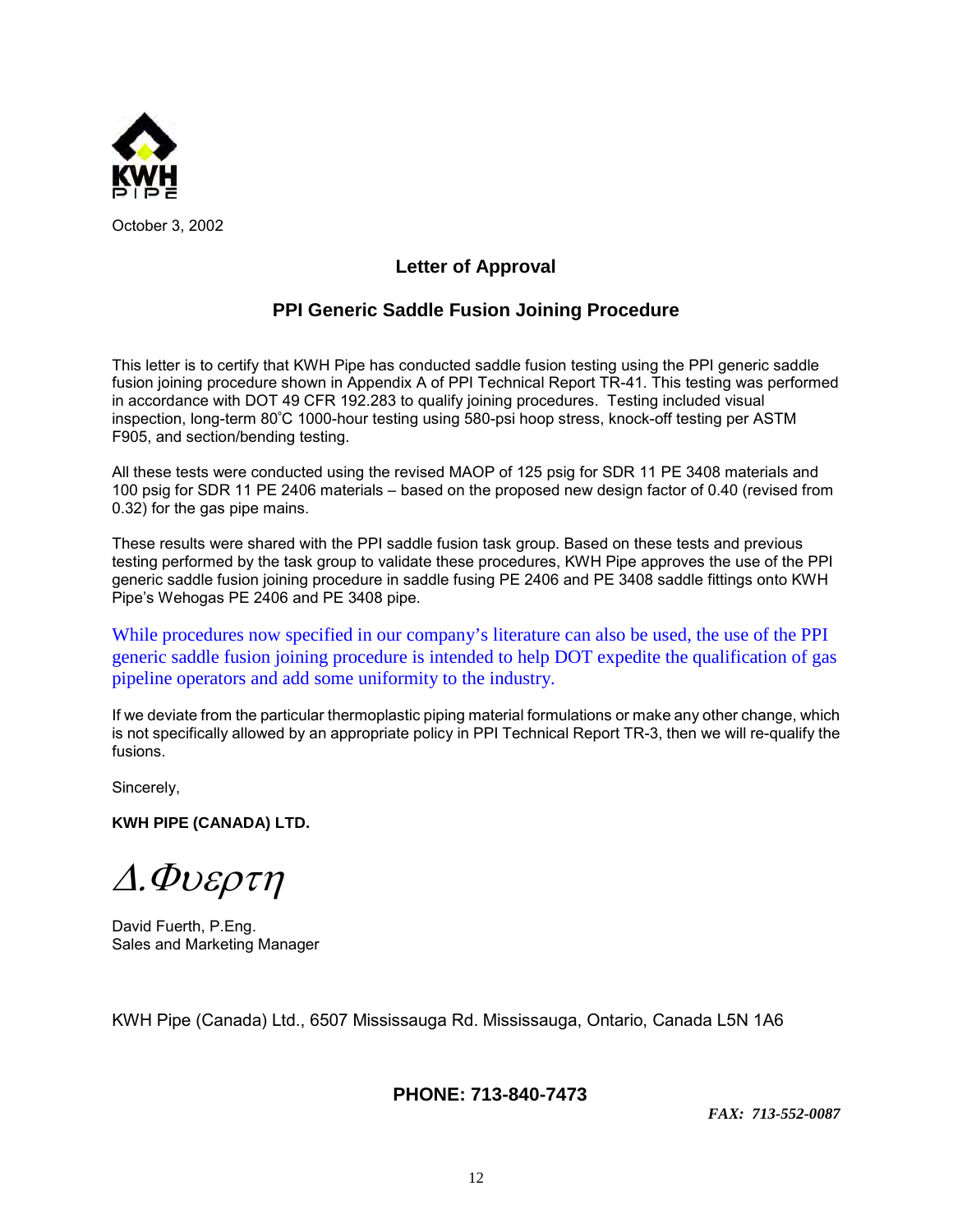

October 3, 2002

### **Letter of Approval**

### **PPI Generic Saddle Fusion Joining Procedure**

This letter is to certify that KWH Pipe has conducted saddle fusion testing using the PPI generic saddle fusion joining procedure shown in Appendix A of PPI Technical Report TR-41. This testing was performed in accordance with DOT 49 CFR 192.283 to qualify joining procedures. Testing included visual inspection, long-term 80º C 1000-hour testing using 580-psi hoop stress, knock-off testing per ASTM F905, and section/bending testing.

All these tests were conducted using the revised MAOP of 125 psig for SDR 11 PE 3408 materials and 100 psig for SDR 11 PE 2406 materials – based on the proposed new design factor of 0.40 (revised from 0.32) for the gas pipe mains.

These results were shared with the PPI saddle fusion task group. Based on these tests and previous testing performed by the task group to validate these procedures, KWH Pipe approves the use of the PPI generic saddle fusion joining procedure in saddle fusing PE 2406 and PE 3408 saddle fittings onto KWH Pipe's Wehogas PE 2406 and PE 3408 pipe.

While procedures now specified in our company's literature can also be used, the use of the PPI generic saddle fusion joining procedure is intended to help DOT expedite the qualification of gas pipeline operators and add some uniformity to the industry.

If we deviate from the particular thermoplastic piping material formulations or make any other change, which is not specifically allowed by an appropriate policy in PPI Technical Report TR-3, then we will re-qualify the fusions.

Sincerely,

**KWH PIPE (CANADA) LTD.**

∆.Φυερτη

David Fuerth, P.Eng. Sales and Marketing Manager

KWH Pipe (Canada) Ltd., 6507 Mississauga Rd. Mississauga, Ontario, Canada L5N 1A6

### **PHONE: 713-840-7473**

*FAX: 713-552-0087*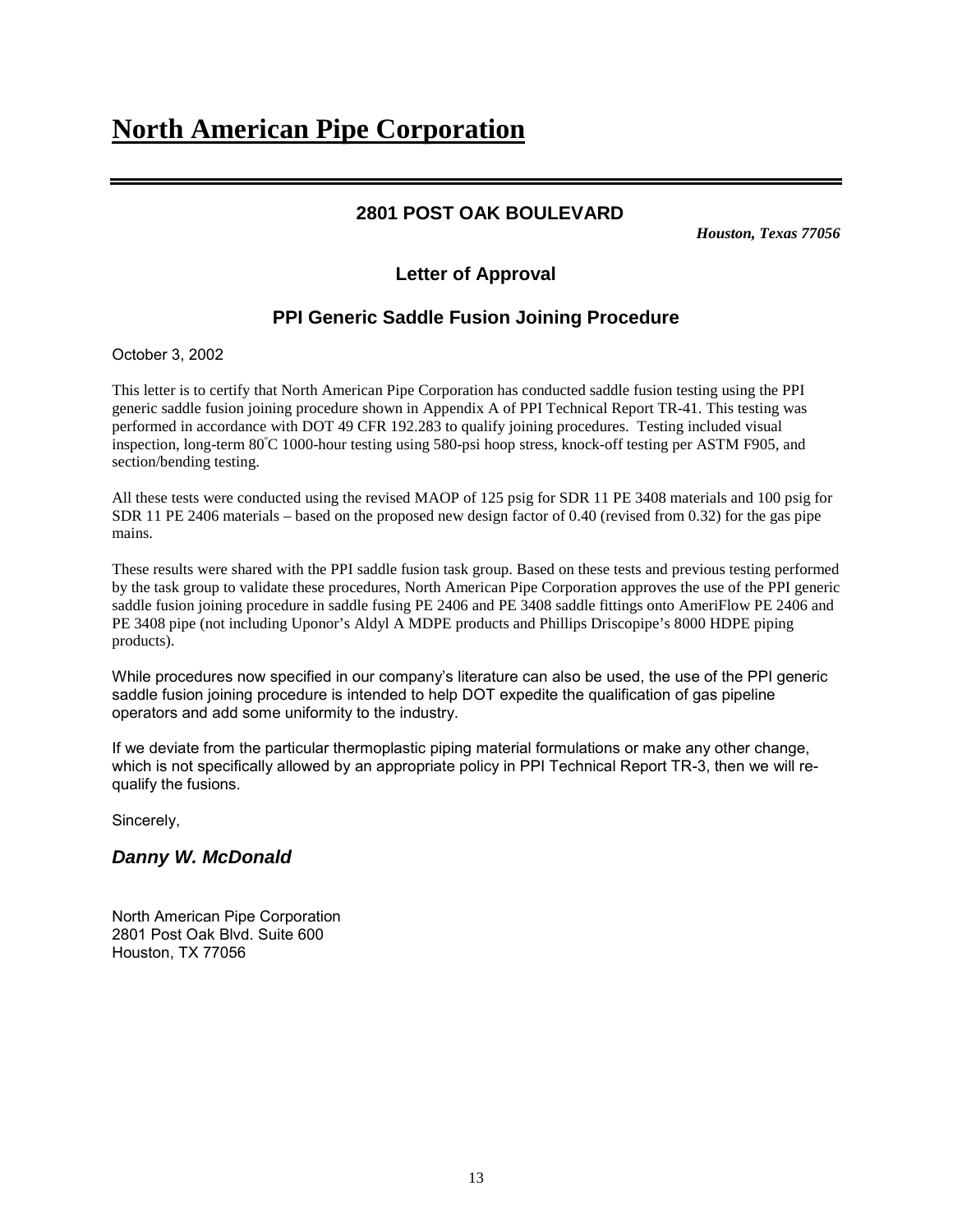## **North American Pipe Corporation**

### **2801 POST OAK BOULEVARD**

*Houston, Texas 77056*

### **Letter of Approval**

### **PPI Generic Saddle Fusion Joining Procedure**

October 3, 2002

This letter is to certify that North American Pipe Corporation has conducted saddle fusion testing using the PPI generic saddle fusion joining procedure shown in Appendix A of PPI Technical Report TR-41. This testing was performed in accordance with DOT 49 CFR 192.283 to qualify joining procedures. Testing included visual inspection, long-term 80º C 1000-hour testing using 580-psi hoop stress, knock-off testing per ASTM F905, and section/bending testing.

All these tests were conducted using the revised MAOP of 125 psig for SDR 11 PE 3408 materials and 100 psig for SDR 11 PE 2406 materials – based on the proposed new design factor of 0.40 (revised from 0.32) for the gas pipe mains.

These results were shared with the PPI saddle fusion task group. Based on these tests and previous testing performed by the task group to validate these procedures, North American Pipe Corporation approves the use of the PPI generic saddle fusion joining procedure in saddle fusing PE 2406 and PE 3408 saddle fittings onto AmeriFlow PE 2406 and PE 3408 pipe (not including Uponor's Aldyl A MDPE products and Phillips Driscopipe's 8000 HDPE piping products).

While procedures now specified in our company's literature can also be used, the use of the PPI generic saddle fusion joining procedure is intended to help DOT expedite the qualification of gas pipeline operators and add some uniformity to the industry.

If we deviate from the particular thermoplastic piping material formulations or make any other change, which is not specifically allowed by an appropriate policy in PPI Technical Report TR-3, then we will requalify the fusions.

Sincerely,

### *Danny W. McDonald*

North American Pipe Corporation 2801 Post Oak Blvd. Suite 600 Houston, TX 77056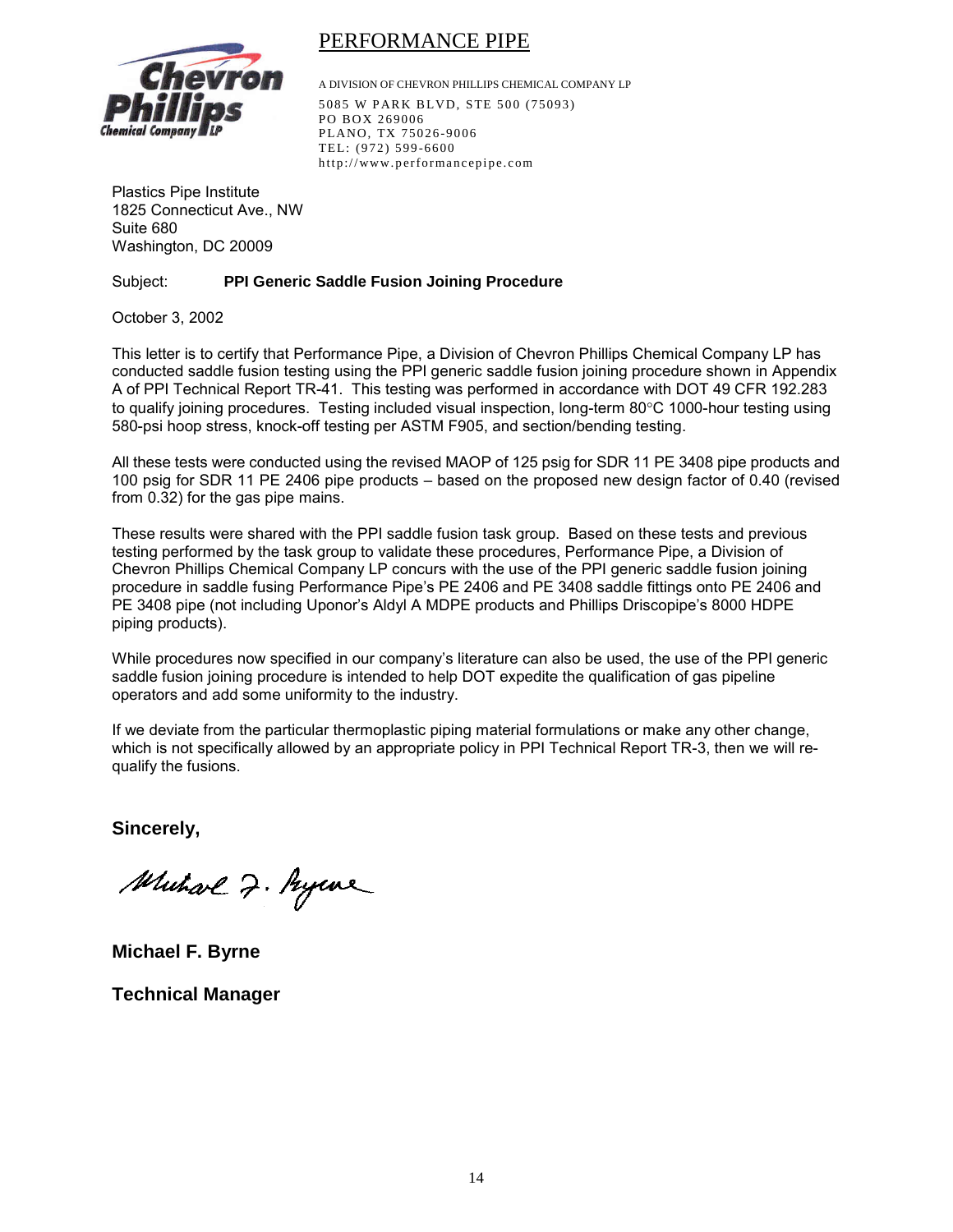

### PERFORMANCE PIPE

A DIVISION OF CHEVRON PHILLIPS CHEMICAL COMPANY LP 5085 W PARK BLVD, STE 500 (75093) PO BOX 269006 PLANO, TX 75026 -9006 TEL: (972) 599 -6600 http://www.performancepipe.com

Plastics Pipe Institute 1825 Connecticut Ave., NW Suite 680 Washington, DC 20009

### Subject: **PPI Generic Saddle Fusion Joining Procedure**

October 3, 2002

This letter is to certify that Performance Pipe, a Division of Chevron Phillips Chemical Company LP has conducted saddle fusion testing using the PPI generic saddle fusion joining procedure shown in Appendix A of PPI Technical Report TR-41. This testing was performed in accordance with DOT 49 CFR 192.283 to qualify joining procedures. Testing included visual inspection, long-term 80°C 1000-hour testing using 580-psi hoop stress, knock-off testing per ASTM F905, and section/bending testing.

All these tests were conducted using the revised MAOP of 125 psig for SDR 11 PE 3408 pipe products and 100 psig for SDR 11 PE 2406 pipe products – based on the proposed new design factor of 0.40 (revised from 0.32) for the gas pipe mains.

These results were shared with the PPI saddle fusion task group. Based on these tests and previous testing performed by the task group to validate these procedures, Performance Pipe, a Division of Chevron Phillips Chemical Company LP concurs with the use of the PPI generic saddle fusion joining procedure in saddle fusing Performance Pipe's PE 2406 and PE 3408 saddle fittings onto PE 2406 and PE 3408 pipe (not including Uponor's Aldyl A MDPE products and Phillips Driscopipe's 8000 HDPE piping products).

While procedures now specified in our company's literature can also be used, the use of the PPI generic saddle fusion joining procedure is intended to help DOT expedite the qualification of gas pipeline operators and add some uniformity to the industry.

If we deviate from the particular thermoplastic piping material formulations or make any other change, which is not specifically allowed by an appropriate policy in PPI Technical Report TR-3, then we will requalify the fusions.

**Sincerely,**

Muhal 7. Ryane

**Michael F. Byrne**

**Technical Manager**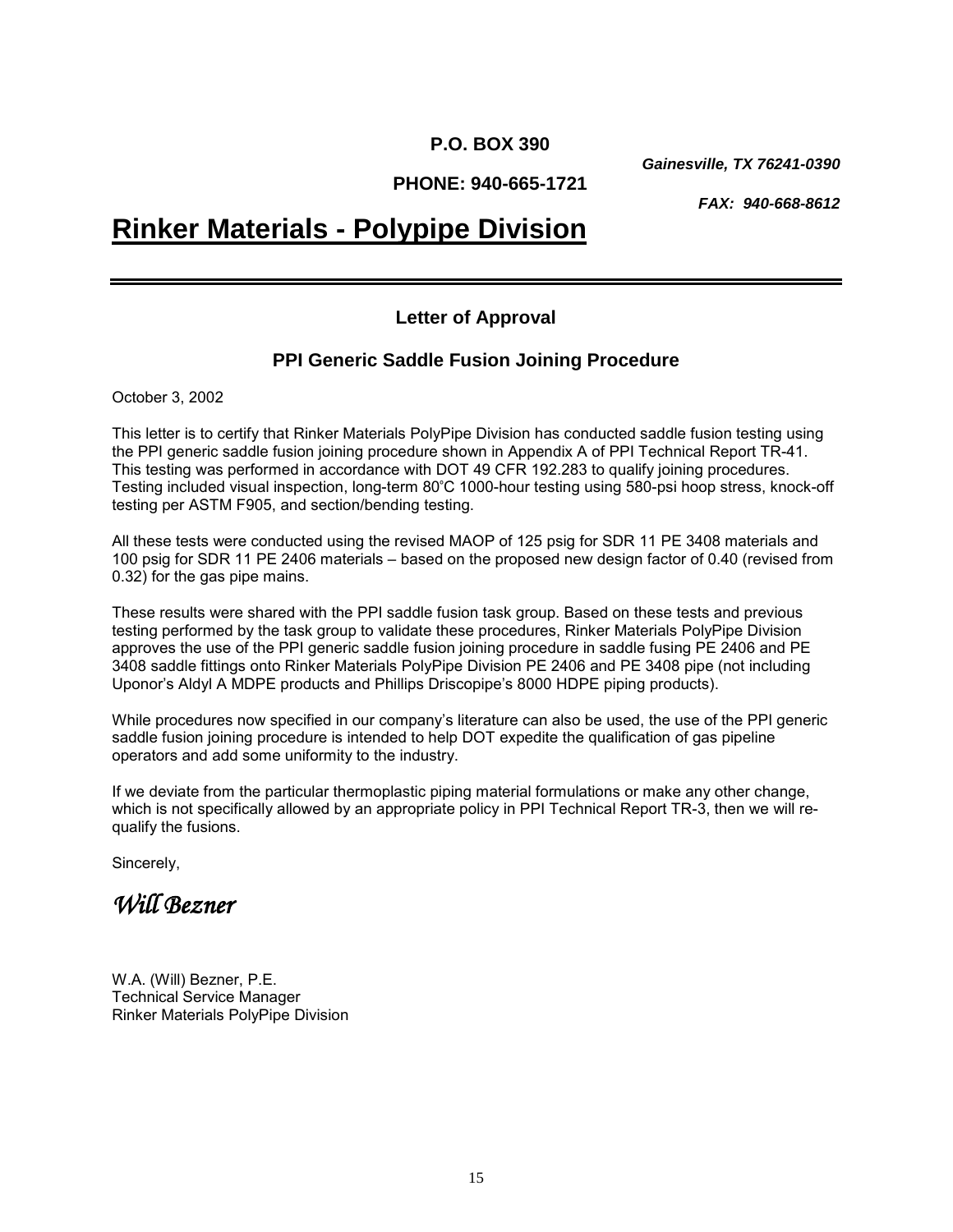### **P.O. BOX 390**

**PHONE: 940-665-1721**

*FAX: 940-668-8612*

## **Rinker Materials - Polypipe Division**

### **Letter of Approval**

### **PPI Generic Saddle Fusion Joining Procedure**

October 3, 2002

This letter is to certify that Rinker Materials PolyPipe Division has conducted saddle fusion testing using the PPI generic saddle fusion joining procedure shown in Appendix A of PPI Technical Report TR-41. This testing was performed in accordance with DOT 49 CFR 192.283 to qualify joining procedures. Testing included visual inspection, long-term 80º C 1000-hour testing using 580-psi hoop stress, knock-off testing per ASTM F905, and section/bending testing.

All these tests were conducted using the revised MAOP of 125 psig for SDR 11 PE 3408 materials and 100 psig for SDR 11 PE 2406 materials – based on the proposed new design factor of 0.40 (revised from 0.32) for the gas pipe mains.

These results were shared with the PPI saddle fusion task group. Based on these tests and previous testing performed by the task group to validate these procedures, Rinker Materials PolyPipe Division approves the use of the PPI generic saddle fusion joining procedure in saddle fusing PE 2406 and PE 3408 saddle fittings onto Rinker Materials PolyPipe Division PE 2406 and PE 3408 pipe (not including Uponor's Aldyl A MDPE products and Phillips Driscopipe's 8000 HDPE piping products).

While procedures now specified in our company's literature can also be used, the use of the PPI generic saddle fusion joining procedure is intended to help DOT expedite the qualification of gas pipeline operators and add some uniformity to the industry.

If we deviate from the particular thermoplastic piping material formulations or make any other change, which is not specifically allowed by an appropriate policy in PPI Technical Report TR-3, then we will requalify the fusions.

Sincerely,

*Will Bezner* 

W.A. (Will) Bezner, P.E. Technical Service Manager Rinker Materials PolyPipe Division